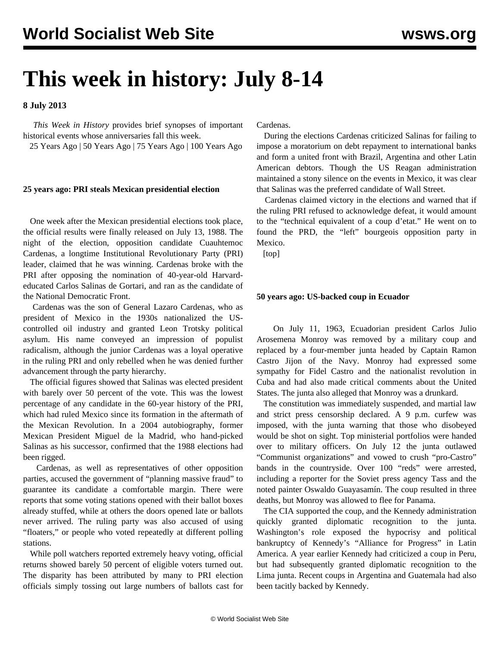# **This week in history: July 8-14**

**8 July 2013**

 *This Week in History* provides brief synopses of important historical events whose anniversaries fall this week.

25 Years Ago | 50 Years Ago | 75 Years Ago | 100 Years Ago

### **25 years ago: PRI steals Mexican presidential election**

 One week after the Mexican presidential elections took place, the official results were finally released on July 13, 1988. The night of the election, opposition candidate Cuauhtemoc Cardenas, a longtime Institutional Revolutionary Party (PRI) leader, claimed that he was winning. Cardenas broke with the PRI after opposing the nomination of 40-year-old Harvardeducated Carlos Salinas de Gortari, and ran as the candidate of the National Democratic Front.

 Cardenas was the son of General Lazaro Cardenas, who as president of Mexico in the 1930s nationalized the UScontrolled oil industry and granted Leon Trotsky political asylum. His name conveyed an impression of populist radicalism, although the junior Cardenas was a loyal operative in the ruling PRI and only rebelled when he was denied further advancement through the party hierarchy.

 The official figures showed that Salinas was elected president with barely over 50 percent of the vote. This was the lowest percentage of any candidate in the 60-year history of the PRI, which had ruled Mexico since its formation in the aftermath of the Mexican Revolution. In a 2004 autobiography, former Mexican President Miguel de la Madrid, who hand-picked Salinas as his successor, confirmed that the 1988 elections had been rigged.

 Cardenas, as well as representatives of other opposition parties, accused the government of "planning massive fraud" to guarantee its candidate a comfortable margin. There were reports that some voting stations opened with their ballot boxes already stuffed, while at others the doors opened late or ballots never arrived. The ruling party was also accused of using "floaters," or people who voted repeatedly at different polling stations.

 While poll watchers reported extremely heavy voting, official returns showed barely 50 percent of eligible voters turned out. The disparity has been attributed by many to PRI election officials simply tossing out large numbers of ballots cast for Cardenas.

 During the elections Cardenas criticized Salinas for failing to impose a moratorium on debt repayment to international banks and form a united front with Brazil, Argentina and other Latin American debtors. Though the US Reagan administration maintained a stony silence on the events in Mexico, it was clear that Salinas was the preferred candidate of Wall Street.

 Cardenas claimed victory in the elections and warned that if the ruling PRI refused to acknowledge defeat, it would amount to the "technical equivalent of a coup d'etat." He went on to found the PRD, the "left" bourgeois opposition party in Mexico.

[top]

## **50 years ago: US-backed coup in Ecuador**

 On July 11, 1963, Ecuadorian president Carlos Julio Arosemena Monroy was removed by a military coup and replaced by a four-member junta headed by Captain Ramon Castro Jijon of the Navy. Monroy had expressed some sympathy for Fidel Castro and the nationalist revolution in Cuba and had also made critical comments about the United States. The junta also alleged that Monroy was a drunkard.

 The constitution was immediately suspended, and martial law and strict press censorship declared. A 9 p.m. curfew was imposed, with the junta warning that those who disobeyed would be shot on sight. Top ministerial portfolios were handed over to military officers. On July 12 the junta outlawed "Communist organizations" and vowed to crush "pro-Castro" bands in the countryside. Over 100 "reds" were arrested, including a reporter for the Soviet press agency Tass and the noted painter Oswaldo Guayasamín. The coup resulted in three deaths, but Monroy was allowed to flee for Panama.

 The CIA supported the coup, and the Kennedy administration quickly granted diplomatic recognition to the junta. Washington's role exposed the hypocrisy and political bankruptcy of Kennedy's "Alliance for Progress" in Latin America. A year earlier Kennedy had criticized a coup in Peru, but had subsequently granted diplomatic recognition to the Lima junta. Recent coups in Argentina and Guatemala had also been tacitly backed by Kennedy.